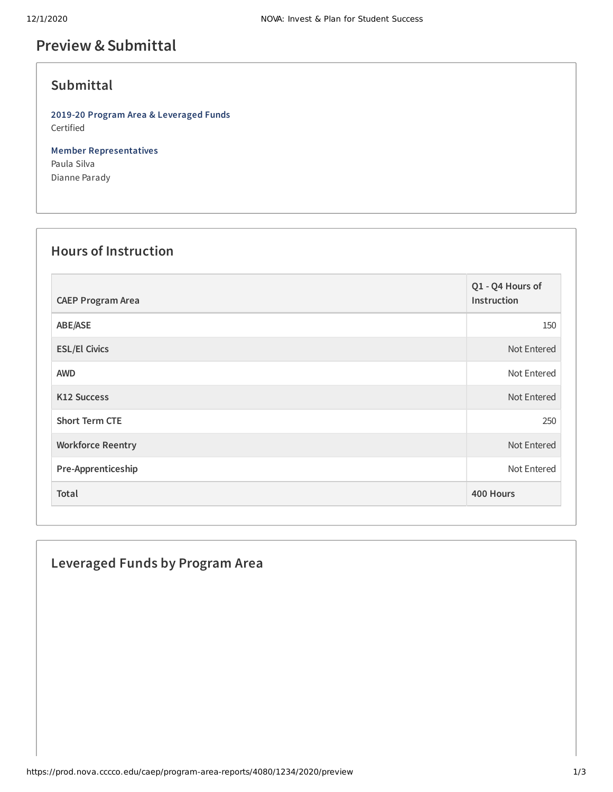## **Preview &Submittal**

## **Submittal**

**2019-20 Program Area & Leveraged Funds** Certified

**Member Representatives** Paula Silva Dianne Parady

## **Hours of Instruction**

| <b>CAEP Program Area</b> | Q1 - Q4 Hours of<br>Instruction |
|--------------------------|---------------------------------|
| ABE/ASE                  | 150                             |
| <b>ESL/El Civics</b>     | Not Entered                     |
| <b>AWD</b>               | Not Entered                     |
| <b>K12 Success</b>       | Not Entered                     |
| <b>Short Term CTE</b>    | 250                             |
| <b>Workforce Reentry</b> | Not Entered                     |
| Pre-Apprenticeship       | Not Entered                     |
| Total                    | 400 Hours                       |

# **Leveraged Funds by Program Area**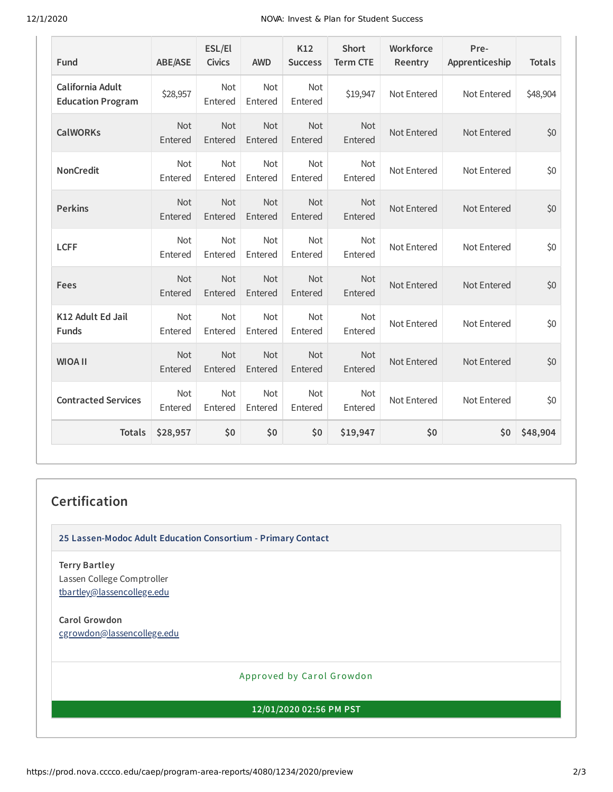#### 12/1/2020 NOVA: Invest & Plan for Student Success

| Fund                                         | <b>ABE/ASE</b>        | ESL/El<br><b>Civics</b> | <b>AWD</b>            | K12<br><b>Success</b> | <b>Short</b><br><b>Term CTE</b> | Workforce<br>Reentry | Pre-<br>Apprenticeship | <b>Totals</b> |
|----------------------------------------------|-----------------------|-------------------------|-----------------------|-----------------------|---------------------------------|----------------------|------------------------|---------------|
| California Adult<br><b>Education Program</b> | \$28,957              | <b>Not</b><br>Entered   | <b>Not</b><br>Entered | Not<br>Entered        | \$19,947                        | Not Entered          | Not Entered            | \$48,904      |
| <b>CalWORKs</b>                              | Not<br>Entered        | <b>Not</b><br>Entered   | Not<br>Entered        | Not<br>Entered        | Not<br>Entered                  | Not Entered          | Not Entered            | \$0           |
| <b>NonCredit</b>                             | <b>Not</b><br>Entered | <b>Not</b><br>Entered   | <b>Not</b><br>Entered | <b>Not</b><br>Entered | <b>Not</b><br>Entered           | Not Entered          | Not Entered            | \$0           |
| <b>Perkins</b>                               | Not<br>Entered        | <b>Not</b><br>Entered   | Not<br>Entered        | Not<br>Entered        | Not<br>Entered                  | Not Entered          | Not Entered            | \$0           |
| <b>LCFF</b>                                  | <b>Not</b><br>Entered | <b>Not</b><br>Entered   | <b>Not</b><br>Entered | <b>Not</b><br>Entered | <b>Not</b><br>Entered           | Not Entered          | Not Entered            | \$0           |
| Fees                                         | Not<br>Entered        | <b>Not</b><br>Entered   | <b>Not</b><br>Entered | Not<br>Entered        | Not<br>Entered                  | Not Entered          | Not Entered            | \$0           |
| K12 Adult Ed Jail<br><b>Funds</b>            | <b>Not</b><br>Entered | <b>Not</b><br>Entered   | <b>Not</b><br>Entered | <b>Not</b><br>Entered | <b>Not</b><br>Entered           | Not Entered          | Not Entered            | \$0           |
| <b>WIOA II</b>                               | <b>Not</b><br>Entered | <b>Not</b><br>Entered   | <b>Not</b><br>Entered | Not<br>Entered        | <b>Not</b><br>Entered           | Not Entered          | Not Entered            | \$0           |
| <b>Contracted Services</b>                   | <b>Not</b><br>Entered | <b>Not</b><br>Entered   | <b>Not</b><br>Entered | Not<br>Entered        | <b>Not</b><br>Entered           | Not Entered          | Not Entered            | \$0           |
| <b>Totals</b>                                | \$28,957              | \$0                     | \$0                   | \$0                   | \$19,947                        | \$0                  | \$0                    | \$48,904      |

### **Certification**

**25 Lassen-Modoc Adult Education Consortium - Primary Contact**

**Terry Bartley** Lassen College Comptroller [tbartley@lassencollege.edu](mailto:tbartley@lassencollege.edu)

**Carol Growdon** [cgrowdon@lassencollege.edu](mailto:cgrowdon@lassencollege.edu)

Approved by Carol Growdon

**12/01/2020 02:56 PM PST**